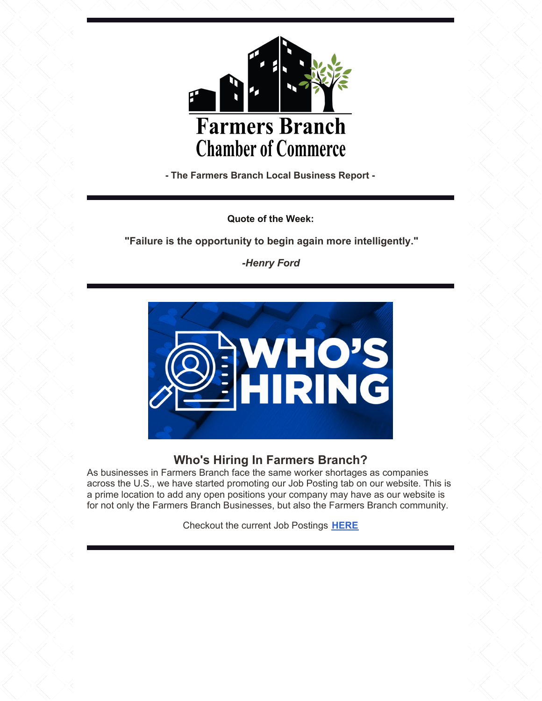

**- The Farmers Branch Local Business Report -**

**Quote of the Week:**

**"Failure is the opportunity to begin again more intelligently."**

*-Henry Ford*



# **Who's Hiring In Farmers Branch?**

As businesses in Farmers Branch face the same worker shortages as companies across the U.S., we have started promoting our Job Posting tab on our website. This is a prime location to add any open positions your company may have as our website is for not only the Farmers Branch Businesses, but also the Farmers Branch community.

Checkout the current Job Postings **[HERE](https://members.farmersbranchchamber.org/jobs/)**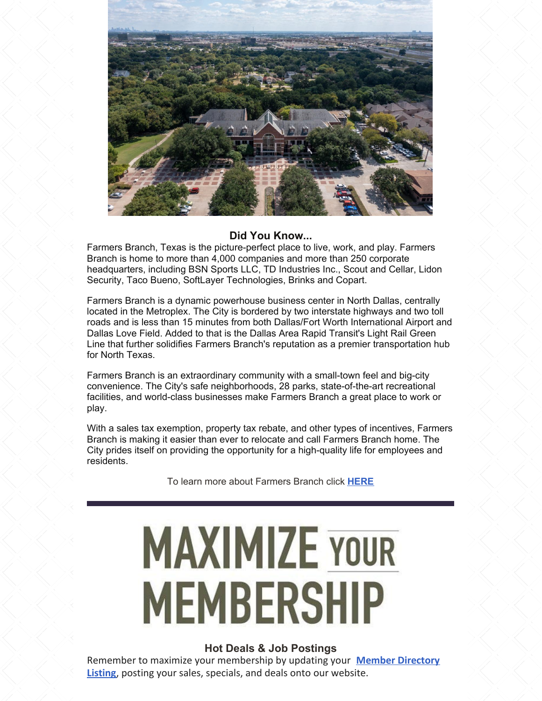

## **Did You Know...**

Farmers Branch, Texas is the picture-perfect place to live, work, and play. Farmers Branch is home to more than 4,000 companies and more than 250 corporate headquarters, including BSN Sports LLC, TD Industries Inc., Scout and Cellar, Lidon Security, Taco Bueno, SoftLayer Technologies, Brinks and Copart.

Farmers Branch is a dynamic powerhouse business center in North Dallas, centrally located in the Metroplex. The City is bordered by two interstate highways and two toll roads and is less than 15 minutes from both Dallas/Fort Worth International Airport and Dallas Love Field. Added to that is the Dallas Area Rapid Transit's Light Rail Green Line that further solidifies Farmers Branch's reputation as a premier transportation hub for North Texas.

Farmers Branch is an extraordinary community with a small-town feel and big-city convenience. The City's safe neighborhoods, 28 parks, state-of-the-art recreational facilities, and world-class businesses make Farmers Branch a great place to work or play.

With a sales tax exemption, property tax rebate, and other types of incentives, Farmers Branch is making it easier than ever to relocate and call Farmers Branch home. The City prides itself on providing the opportunity for a high-quality life for employees and residents.

To learn more about Farmers Branch click **[HERE](https://www.farmersbranchtx.gov/)**

# **MAXIMIZE YOUR MEMBERSHIP**

### **Hot Deals & Job Postings**

Remember to maximize your [membership](https://members.farmersbranchchamber.org/list/) by updating your **Member Directory Listing**, posting your sales, specials, and deals onto our website.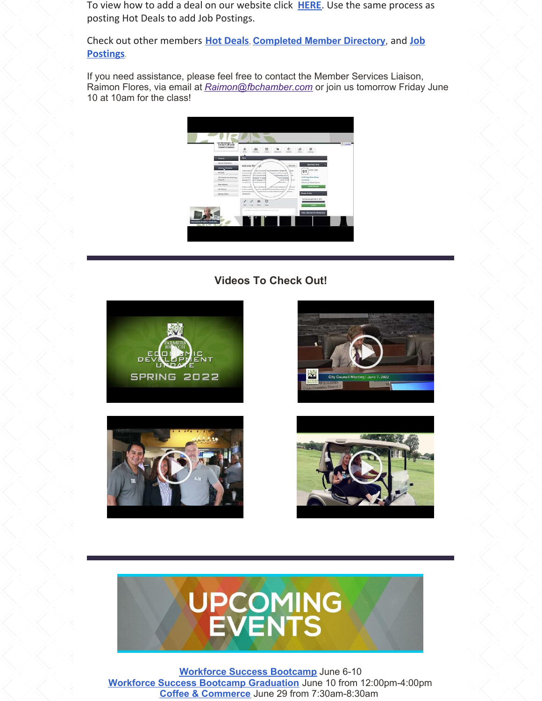To view how to add a deal on our website click **[HERE](http://supportwiki.micronetonline.com/images/d/d2/How_to_submit_a_Hot_Deal_or_Member_to_member_deal.pdf)**. Use the same process as posting Hot Deals to add Job Postings.

Check out other members **Hot [Deals](https://members.farmersbranchchamber.org/hotdeals/)**, **[Completed](https://members.farmersbranchchamber.org/jobs/) Member Directory**, and **Job Postings**.

If you need assistance, please feel free to contact the Member Services Liaison, Raimon Flores, via email at *Raimon@fbchamber.com* or join us tomorrow Friday June 10 at 10am for the class!



## **Videos To Check Out!**











**[Workforce](https://farmersbranchchamber.org/skills-for-success-bootcamp/) Success Bootcamp** June 6-10 **Workforce Success Bootcamp [Graduation](https://members.farmersbranchchamber.org/events/details/workforce-success-bootcamp-graduation-day-13461?calendarMonth=2022-06-01)** June 10 from 12:00pm-4:00pm **Coffee & [Commerce](https://members.farmersbranchchamber.org/events/details/coffee-commerce-13533?calendarMonth=2022-06-01)** June 29 from 7:30am-8:30am